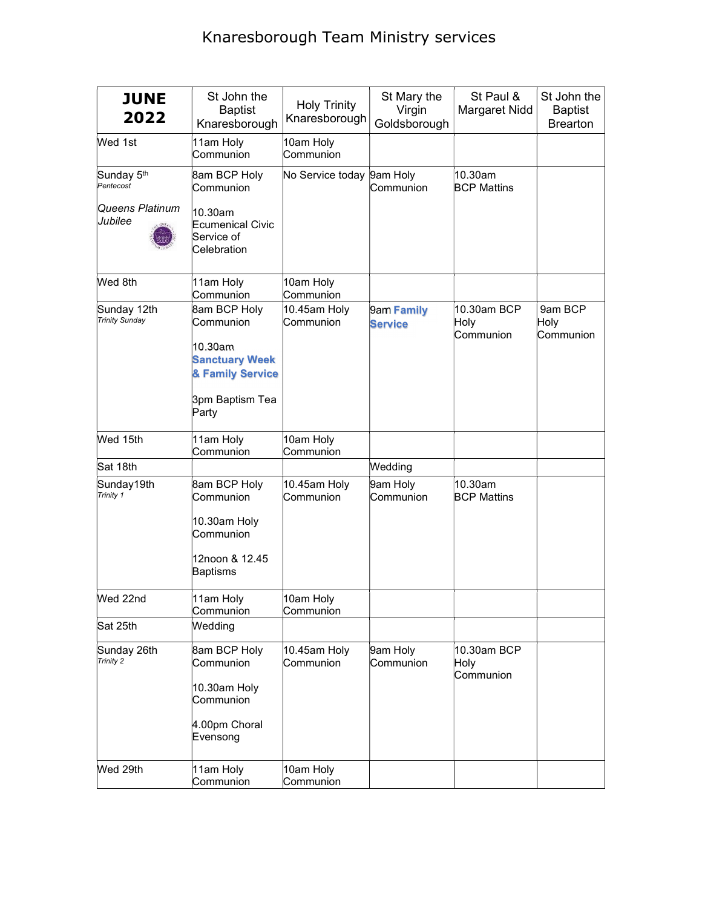## Knaresborough Team Ministry services

| <b>JUNE</b><br>2022                  | St John the<br><b>Baptist</b><br>Knaresborough                                                                | <b>Holy Trinity</b><br>Knaresborough | St Mary the<br>Virgin<br>Goldsborough | St Paul &<br>Margaret Nidd       | St John the<br><b>Baptist</b><br><b>Brearton</b> |
|--------------------------------------|---------------------------------------------------------------------------------------------------------------|--------------------------------------|---------------------------------------|----------------------------------|--------------------------------------------------|
| Wed 1st                              | 11am Holy<br>Communion                                                                                        | 10am Holy<br>Communion               |                                       |                                  |                                                  |
| Sunday 5th<br>Pentecost              | 8am BCP Holy<br>Communion                                                                                     | No Service today 9am Holy            | Communion                             | 10.30am<br><b>BCP Mattins</b>    |                                                  |
| Queens Platinum<br>Jubilee           | 10.30am<br>Ecumenical Civic<br>Service of<br>Celebration                                                      |                                      |                                       |                                  |                                                  |
| Wed 8th                              | 11am Holy<br>Communion                                                                                        | 10am Holy<br>Communion               |                                       |                                  |                                                  |
| Sunday 12th<br><b>Trinity Sunday</b> | 8am BCP Holy<br>Communion<br>10.30am<br><b>Sanctuary Week</b><br>& Family Service<br>3pm Baptism Tea<br>Party | $10.45$ am Holy<br>Communion         | 9am Family<br><b>Service</b>          | 10.30am BCP<br>Holy<br>Communion | 9am BCP<br>Holy<br>Communion                     |
| Wed 15th                             | 11am Holy<br>Communion                                                                                        | 10am Holy<br>Communion               |                                       |                                  |                                                  |
| Sat 18th                             |                                                                                                               |                                      | Wedding                               |                                  |                                                  |
| Sunday19th<br>Trinity 1              | 8am BCP Holy<br>Communion<br>10.30am Holy<br>Communion<br>12noon & 12.45<br><b>Baptisms</b>                   | 10.45am Holy<br>Communion            | 9am Holy<br>Communion                 | 10.30am<br><b>BCP Mattins</b>    |                                                  |
| Wed 22nd                             | 11am Holy<br>Communion                                                                                        | 10am Holy<br>Communion               |                                       |                                  |                                                  |
| Sat 25th                             | Wedding                                                                                                       |                                      |                                       |                                  |                                                  |
| Sunday 26th<br>Trinity 2             | 8am BCP Holy<br>Communion<br>10.30am Holy<br>Communion<br>4.00pm Choral<br>Evensong                           | 10.45am Holy<br>Communion            | 9am Holy<br>Communion                 | 10.30am BCP<br>Holy<br>Communion |                                                  |
| Wed 29th                             | 11am Holy<br>Communion                                                                                        | 10am Holy<br>Communion               |                                       |                                  |                                                  |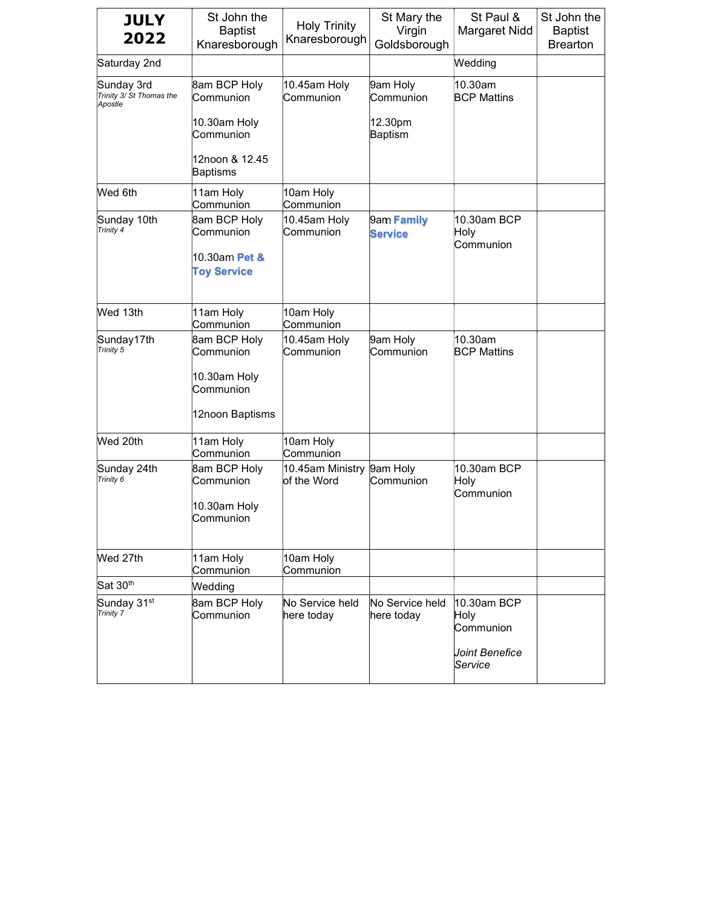| <b>JULY</b><br>2022                               | St John the<br><b>Baptist</b><br>Knaresborough                          | <b>Holy Trinity</b><br>Knaresborough | St Mary the<br>Virgin<br>Goldsborough | St Paul &<br>Margaret Nidd       | St John the<br><b>Baptist</b><br><b>Brearton</b> |
|---------------------------------------------------|-------------------------------------------------------------------------|--------------------------------------|---------------------------------------|----------------------------------|--------------------------------------------------|
| Saturday 2nd                                      |                                                                         |                                      |                                       | Wedding                          |                                                  |
| Sunday 3rd<br>Trinity 3/ St Thomas the<br>Apostle | 8am BCP Holy<br>Communion                                               | 10.45am Holy<br>Communion            | 9am Holy<br>Communion                 | 10.30am<br><b>BCP Mattins</b>    |                                                  |
|                                                   | 10.30am Holy<br>Communion                                               |                                      | 12.30pm<br>Baptism                    |                                  |                                                  |
|                                                   | 12noon & 12.45<br>Baptisms                                              |                                      |                                       |                                  |                                                  |
| Wed 6th                                           | 11am Holy<br>Communion                                                  | 10am Holy<br>Communion               |                                       |                                  |                                                  |
| Sunday 10th<br>Trinity 4                          | <b>8am BCP Holy</b><br>Communion<br>10.30am Pet &<br><b>Toy Service</b> | 10.45am Holy<br>Communion            | 9am Family<br><b>Service</b>          | 10.30am BCP<br>Holy<br>Communion |                                                  |
| Wed 13th                                          | 11am Holy<br>Communion                                                  | 10am Holy<br>Communion               |                                       |                                  |                                                  |
| Sunday17th<br>Trinity 5                           | 8am BCP Holy<br>Communion                                               | 10.45am Holy<br>Communion            | 9am Holy<br>Communion                 | 10.30am<br><b>BCP Mattins</b>    |                                                  |
|                                                   | 10.30am Holy<br>Communion                                               |                                      |                                       |                                  |                                                  |
|                                                   | 12noon Baptisms                                                         |                                      |                                       |                                  |                                                  |
| Wed 20th                                          | 11am Holy<br>Communion                                                  | 10am Holy<br>Communion               |                                       |                                  |                                                  |
| Sunday 24th<br>Trinity 6                          | 8am BCP Holy<br>Communion<br>10.30am Holy<br>Communion                  | 10.45am Ministry<br>of the Word      | 9am Holy<br>Communion                 | 10.30am BCP<br>Holy<br>Communion |                                                  |
| Wed 27th                                          | 11am Holy<br>Communion                                                  | 10am Holy<br>Communion               |                                       |                                  |                                                  |
| Sat 30th                                          | Wedding                                                                 |                                      |                                       |                                  |                                                  |
| Sunday 31 <sup>st</sup><br>Trinity 7              | 8am BCP Holy<br>Communion                                               | No Service held<br>here today        | No Service held<br>here today         | 10.30am BCP<br>Holy<br>Communion |                                                  |
|                                                   |                                                                         |                                      |                                       | Joint Benefice<br>Service        |                                                  |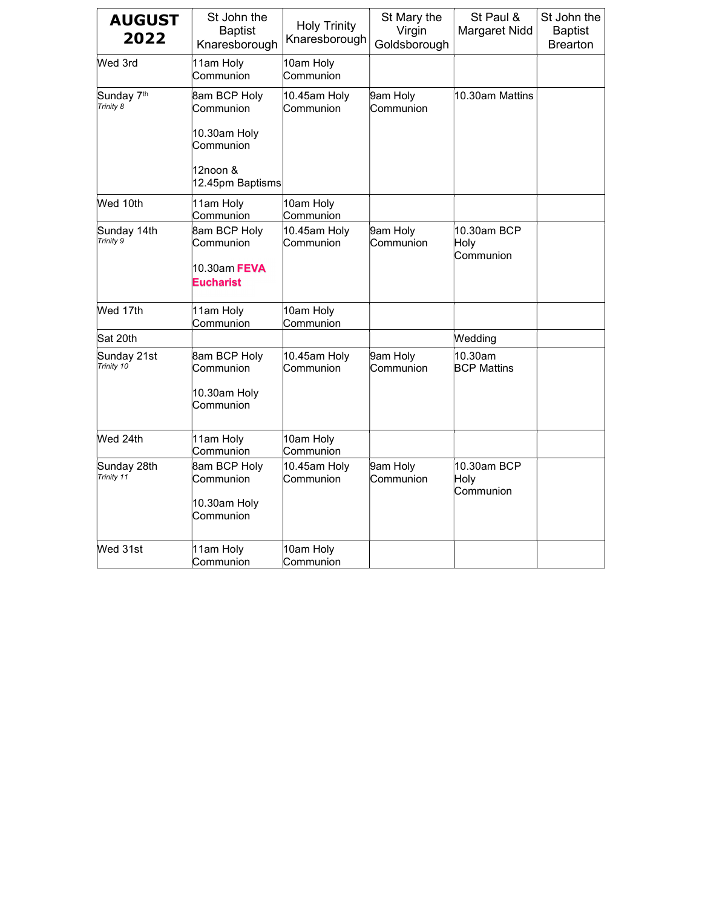| <b>AUGUST</b><br>2022               | St John the<br><b>Baptist</b><br>Knaresborough | <b>Holy Trinity</b><br>Knaresborough | St Mary the<br>Virgin<br>Goldsborough | St Paul &<br>Margaret Nidd       | St John the<br><b>Baptist</b><br><b>Brearton</b> |
|-------------------------------------|------------------------------------------------|--------------------------------------|---------------------------------------|----------------------------------|--------------------------------------------------|
| Wed 3rd                             | 11am Holy<br>Communion                         | 10am Holy<br>Communion               |                                       |                                  |                                                  |
| Sunday 7 <sup>th</sup><br>Trinity 8 | 8am BCP Holy<br>Communion                      | 10.45am Holy<br>Communion            | 9am Holy<br>Communion                 | 10.30am Mattins                  |                                                  |
|                                     | 10.30am Holy<br>Communion                      |                                      |                                       |                                  |                                                  |
|                                     | 12noon &<br>12.45pm Baptisms                   |                                      |                                       |                                  |                                                  |
| Wed 10th                            | 11am Holy<br>Communion                         | 10am Holy<br>Communion               |                                       |                                  |                                                  |
| Sunday 14th<br>Trinity 9            | 8am BCP Holy<br>Communion<br>10.30am FEVA      | 10.45am Holy<br>Communion            | 9am Holy<br>Communion                 | 10.30am BCP<br>Holy<br>Communion |                                                  |
|                                     | <b>Eucharist</b>                               |                                      |                                       |                                  |                                                  |
| Wed 17th                            | 11am Holy<br>Communion                         | 10am Holy<br>Communion               |                                       |                                  |                                                  |
| Sat 20th                            |                                                |                                      |                                       | Wedding                          |                                                  |
| Sunday 21st<br>Trinity 10           | 8am BCP Holy<br>Communion                      | 10.45am Holy<br>Communion            | 9am Holy<br>Communion                 | 10.30am<br><b>BCP Mattins</b>    |                                                  |
|                                     | 10.30am Holy<br>Communion                      |                                      |                                       |                                  |                                                  |
| Wed 24th                            | 11am Holy<br>Communion                         | 10am Holy<br>Communion               |                                       |                                  |                                                  |
| Sunday 28th<br>Trinity 11           | 8am BCP Holy<br>Communion                      | 10.45am Holy<br>Communion            | 9am Holy<br>Communion                 | 10.30am BCP<br>Holy<br>Communion |                                                  |
|                                     | 10.30am Holy<br>Communion                      |                                      |                                       |                                  |                                                  |
| Wed 31st                            | 11am Holy<br>Communion                         | 10am Holy<br>Communion               |                                       |                                  |                                                  |